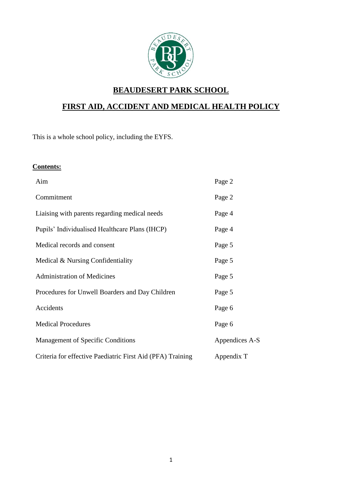

# **BEAUDESERT PARK SCHOOL**

# **FIRST AID, ACCIDENT AND MEDICAL HEALTH POLICY**

This is a whole school policy, including the EYFS.

#### **Contents:**

| Aim                                                        | Page 2         |
|------------------------------------------------------------|----------------|
| Commitment                                                 | Page 2         |
| Liaising with parents regarding medical needs              | Page 4         |
| Pupils' Individualised Healthcare Plans (IHCP)             | Page 4         |
| Medical records and consent                                | Page 5         |
| Medical & Nursing Confidentiality                          | Page 5         |
| <b>Administration of Medicines</b>                         | Page 5         |
| Procedures for Unwell Boarders and Day Children            | Page 5         |
| Accidents                                                  | Page 6         |
| <b>Medical Procedures</b>                                  | Page 6         |
| Management of Specific Conditions                          | Appendices A-S |
| Criteria for effective Paediatric First Aid (PFA) Training | Appendix T     |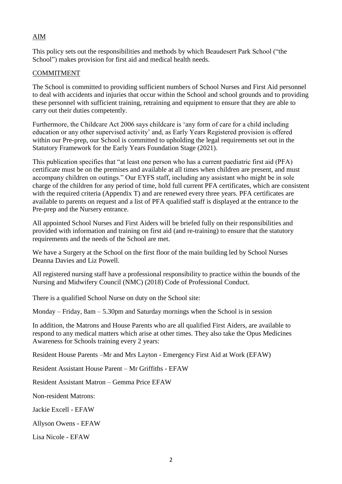# AIM

This policy sets out the responsibilities and methods by which Beaudesert Park School ("the School") makes provision for first aid and medical health needs.

#### COMMITMENT

The School is committed to providing sufficient numbers of School Nurses and First Aid personnel to deal with accidents and injuries that occur within the School and school grounds and to providing these personnel with sufficient training, retraining and equipment to ensure that they are able to carry out their duties competently.

Furthermore, the Childcare Act 2006 says childcare is 'any form of care for a child including education or any other supervised activity' and, as Early Years Registered provision is offered within our Pre-prep, our School is committed to upholding the legal requirements set out in the Statutory Framework for the Early Years Foundation Stage (2021).

This publication specifies that "at least one person who has a current paediatric first aid (PFA) certificate must be on the premises and available at all times when children are present, and must accompany children on outings." Our EYFS staff, including any assistant who might be in sole charge of the children for any period of time, hold full current PFA certificates, which are consistent with the required criteria (Appendix T) and are renewed every three years. PFA certificates are available to parents on request and a list of PFA qualified staff is displayed at the entrance to the Pre-prep and the Nursery entrance.

All appointed School Nurses and First Aiders will be briefed fully on their responsibilities and provided with information and training on first aid (and re-training) to ensure that the statutory requirements and the needs of the School are met.

We have a Surgery at the School on the first floor of the main building led by School Nurses Deanna Davies and Liz Powell.

All registered nursing staff have a professional responsibility to practice within the bounds of the Nursing and Midwifery Council (NMC) (2018) Code of Professional Conduct.

There is a qualified School Nurse on duty on the School site:

Monday – Friday,  $8am - 5.30pm$  and Saturday mornings when the School is in session

In addition, the Matrons and House Parents who are all qualified First Aiders, are available to respond to any medical matters which arise at other times. They also take the Opus Medicines Awareness for Schools training every 2 years:

Resident House Parents –Mr and Mrs Layton - Emergency First Aid at Work (EFAW)

Resident Assistant House Parent – Mr Griffiths - EFAW

Resident Assistant Matron – Gemma Price EFAW

Non-resident Matrons:

Jackie Excell - EFAW

Allyson Owens - EFAW

Lisa Nicole - EFAW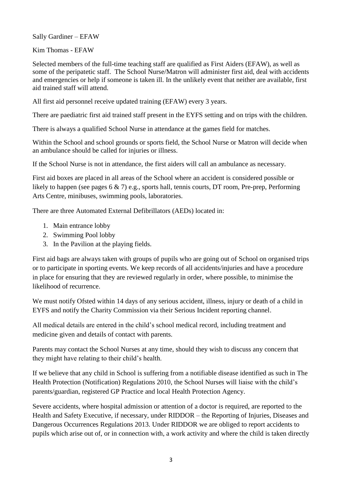Sally Gardiner – EFAW

Kim Thomas - EFAW

Selected members of the full-time teaching staff are qualified as First Aiders (EFAW), as well as some of the peripatetic staff. The School Nurse/Matron will administer first aid, deal with accidents and emergencies or help if someone is taken ill. In the unlikely event that neither are available, first aid trained staff will attend.

All first aid personnel receive updated training (EFAW) every 3 years.

There are paediatric first aid trained staff present in the EYFS setting and on trips with the children.

There is always a qualified School Nurse in attendance at the games field for matches.

Within the School and school grounds or sports field, the School Nurse or Matron will decide when an ambulance should be called for injuries or illness.

If the School Nurse is not in attendance, the first aiders will call an ambulance as necessary.

First aid boxes are placed in all areas of the School where an accident is considered possible or likely to happen (see pages 6 & 7) e.g., sports hall, tennis courts, DT room, Pre-prep, Performing Arts Centre, minibuses, swimming pools, laboratories.

There are three Automated External Defibrillators (AEDs) located in:

- 1. Main entrance lobby
- 2. Swimming Pool lobby
- 3. In the Pavilion at the playing fields.

First aid bags are always taken with groups of pupils who are going out of School on organised trips or to participate in sporting events. We keep records of all accidents/injuries and have a procedure in place for ensuring that they are reviewed regularly in order, where possible, to minimise the likelihood of recurrence.

We must notify Ofsted within 14 days of any serious accident, illness, injury or death of a child in EYFS and notify the Charity Commission via their Serious Incident reporting channel.

All medical details are entered in the child's school medical record, including treatment and medicine given and details of contact with parents.

Parents may contact the School Nurses at any time, should they wish to discuss any concern that they might have relating to their child's health.

If we believe that any child in School is suffering from a notifiable disease identified as such in The Health Protection (Notification) Regulations 2010, the School Nurses will liaise with the child's parents/guardian, registered GP Practice and local Health Protection Agency.

Severe accidents, where hospital admission or attention of a doctor is required, are reported to the Health and Safety Executive, if necessary, under RIDDOR – the Reporting of Injuries, Diseases and Dangerous Occurrences Regulations 2013. Under RIDDOR we are obliged to report accidents to pupils which arise out of, or in connection with, a work activity and where the child is taken directly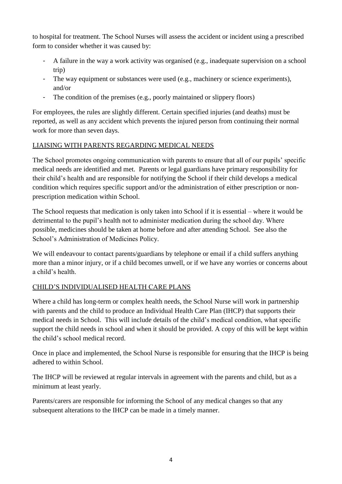to hospital for treatment. The School Nurses will assess the accident or incident using a prescribed form to consider whether it was caused by:

- A failure in the way a work activity was organised (e.g., inadequate supervision on a school trip)
- The way equipment or substances were used (e.g., machinery or science experiments), and/or
- The condition of the premises (e.g., poorly maintained or slippery floors)

For employees, the rules are slightly different. Certain specified injuries (and deaths) must be reported, as well as any accident which prevents the injured person from continuing their normal work for more than seven days.

# LIAISING WITH PARENTS REGARDING MEDICAL NEEDS

The School promotes ongoing communication with parents to ensure that all of our pupils' specific medical needs are identified and met. Parents or legal guardians have primary responsibility for their child's health and are responsible for notifying the School if their child develops a medical condition which requires specific support and/or the administration of either prescription or nonprescription medication within School.

The School requests that medication is only taken into School if it is essential – where it would be detrimental to the pupil's health not to administer medication during the school day. Where possible, medicines should be taken at home before and after attending School. See also the School's Administration of Medicines Policy.

We will endeavour to contact parents/guardians by telephone or email if a child suffers anything more than a minor injury, or if a child becomes unwell, or if we have any worries or concerns about a child's health.

# CHILD'S INDIVIDUALISED HEALTH CARE PLANS

Where a child has long-term or complex health needs, the School Nurse will work in partnership with parents and the child to produce an Individual Health Care Plan (IHCP) that supports their medical needs in School. This will include details of the child's medical condition, what specific support the child needs in school and when it should be provided. A copy of this will be kept within the child's school medical record.

Once in place and implemented, the School Nurse is responsible for ensuring that the IHCP is being adhered to within School.

The IHCP will be reviewed at regular intervals in agreement with the parents and child, but as a minimum at least yearly.

Parents/carers are responsible for informing the School of any medical changes so that any subsequent alterations to the IHCP can be made in a timely manner.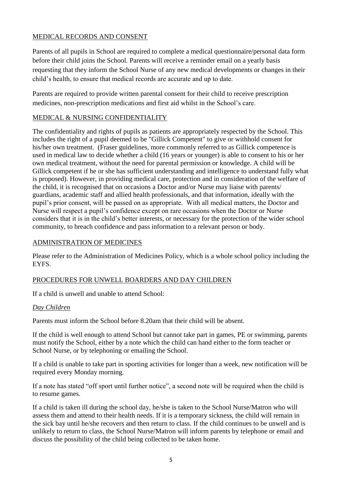# MEDICAL RECORDS AND CONSENT

Parents of all pupils in School are required to complete a medical questionnaire/personal data form before their child joins the School. Parents will receive a reminder email on a yearly basis requesting that they inform the School Nurse of any new medical developments or changes in their child's health, to ensure that medical records are accurate and up to date.

Parents are required to provide written parental consent for their child to receive prescription medicines, non-prescription medications and first aid whilst in the School's care.

## MEDICAL & NURSING CONFIDENTIALITY

The confidentiality and rights of pupils as patients are appropriately respected by the School. This includes the right of a pupil deemed to be "Gillick Competent" to give or withhold consent for his/her own treatment. (Fraser guidelines, more commonly referred to as Gillick competence is used in medical law to decide whether a child (16 years or younger) is able to consent to his or her own medical treatment, without the need for parental permission or knowledge. A child will be Gillick competent if he or she has sufficient understanding and intelligence to understand fully what is proposed). However, in providing medical care, protection and in consideration of the welfare of the child, it is recognised that on occasions a Doctor and/or Nurse may liaise with parents/ guardians, academic staff and allied health professionals, and that information, ideally with the pupil's prior consent, will be passed on as appropriate. With all medical matters, the Doctor and Nurse will respect a pupil's confidence except on rare occasions when the Doctor or Nurse considers that it is in the child's better interests, or necessary for the protection of the wider school community, to breach confidence and pass information to a relevant person or body.

#### ADMINISTRATION OF MEDICINES

Please refer to the Administration of Medicines Policy, which is a whole school policy including the EYFS.

#### PROCEDURES FOR UNWELL BOARDERS AND DAY CHILDREN

If a child is unwell and unable to attend School:

#### *Day Children*

Parents must inform the School before 8.20am that their child will be absent.

If the child is well enough to attend School but cannot take part in games, PE or swimming, parents must notify the School, either by a note which the child can hand either to the form teacher or School Nurse, or by telephoning or emailing the School.

If a child is unable to take part in sporting activities for longer than a week, new notification will be required every Monday morning.

If a note has stated "off sport until further notice", a second note will be required when the child is to resume games.

If a child is taken ill during the school day, he/she is taken to the School Nurse/Matron who will assess them and attend to their health needs. If it is a temporary sickness, the child will remain in the sick bay until he/she recovers and then return to class. If the child continues to be unwell and is unlikely to return to class, the School Nurse/Matron will inform parents by telephone or email and discuss the possibility of the child being collected to be taken home.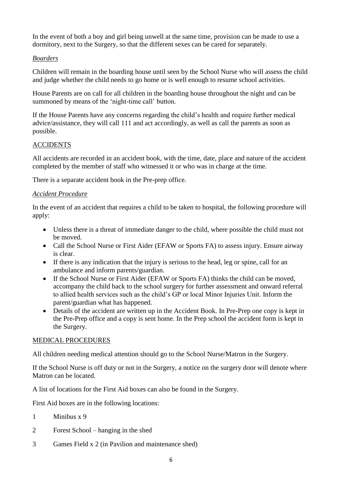In the event of both a boy and girl being unwell at the same time, provision can be made to use a dormitory, next to the Surgery, so that the different sexes can be cared for separately.

# *Boarders*

Children will remain in the boarding house until seen by the School Nurse who will assess the child and judge whether the child needs to go home or is well enough to resume school activities.

House Parents are on call for all children in the boarding house throughout the night and can be summoned by means of the 'night-time call' button.

If the House Parents have any concerns regarding the child's health and require further medical advice/assistance, they will call 111 and act accordingly, as well as call the parents as soon as possible.

## ACCIDENTS

All accidents are recorded in an accident book, with the time, date, place and nature of the accident completed by the member of staff who witnessed it or who was in charge at the time.

There is a separate accident book in the Pre-prep office.

## *Accident Procedure*

In the event of an accident that requires a child to be taken to hospital, the following procedure will apply:

- Unless there is a threat of immediate danger to the child, where possible the child must not be moved.
- Call the School Nurse or First Aider (EFAW or Sports FA) to assess injury. Ensure airway is clear.
- If there is any indication that the injury is serious to the head, leg or spine, call for an ambulance and inform parents/guardian.
- If the School Nurse or First Aider (EFAW or Sports FA) thinks the child can be moved, accompany the child back to the school surgery for further assessment and onward referral to allied health services such as the child's GP or local Minor Injuries Unit. Inform the parent/guardian what has happened.
- Details of the accident are written up in the Accident Book. In Pre-Prep one copy is kept in the Pre-Prep office and a copy is sent home. In the Prep school the accident form is kept in the Surgery.

#### MEDICAL PROCEDURES

All children needing medical attention should go to the School Nurse/Matron in the Surgery.

If the School Nurse is off duty or not in the Surgery, a notice on the surgery door will denote where Matron can be located.

A list of locations for the First Aid boxes can also be found in the Surgery.

First Aid boxes are in the following locations:

- 1 Minibus x 9
- 2 Forest School hanging in the shed
- 3 Games Field x 2 (in Pavilion and maintenance shed)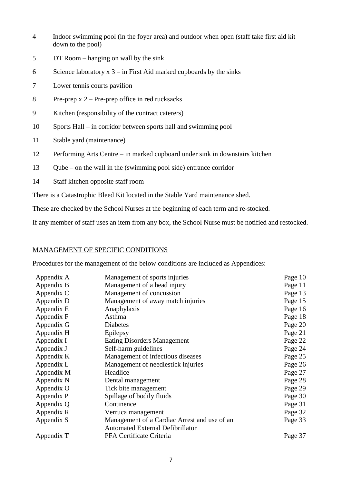- 4 Indoor swimming pool (in the foyer area) and outdoor when open (staff take first aid kit down to the pool)
- 5 DT Room hanging on wall by the sink
- 6 Science laboratory  $x$  3 in First Aid marked cupboards by the sinks
- 7 Lower tennis courts pavilion
- 8 Pre-prep  $x^2$  Pre-prep office in red rucksacks
- 9 Kitchen (responsibility of the contract caterers)
- 10 Sports Hall in corridor between sports hall and swimming pool
- 11 Stable yard (maintenance)
- 12 Performing Arts Centre in marked cupboard under sink in downstairs kitchen
- 13 Qube on the wall in the (swimming pool side) entrance corridor
- 14 Staff kitchen opposite staff room

There is a Catastrophic Bleed Kit located in the Stable Yard maintenance shed.

These are checked by the School Nurses at the beginning of each term and re-stocked.

If any member of staff uses an item from any box, the School Nurse must be notified and restocked.

#### MANAGEMENT OF SPECIFIC CONDITIONS

Procedures for the management of the below conditions are included as Appendices:

| Appendix A                                       | Management of sports injuries                | Page 10 |
|--------------------------------------------------|----------------------------------------------|---------|
| Appendix B                                       | Management of a head injury                  | Page 11 |
| Appendix C                                       | Management of concussion                     | Page 13 |
| Appendix D                                       | Management of away match injuries            | Page 15 |
| Appendix E                                       | Anaphylaxis                                  | Page 16 |
| Appendix F                                       | Asthma                                       | Page 18 |
| Appendix G                                       | <b>Diabetes</b>                              | Page 20 |
| Appendix H                                       | Epilepsy                                     | Page 21 |
| Appendix I                                       | Eating Disorders Management                  |         |
| Appendix J                                       | Self-harm guidelines                         |         |
| Appendix K                                       | Management of infectious diseases            |         |
| Appendix L<br>Management of needlestick injuries |                                              | Page 26 |
| Appendix M                                       | Headlice<br>Page 27                          |         |
| Appendix N                                       | Dental management                            |         |
| Appendix O<br>Tick bite management               |                                              | Page 29 |
| Spillage of bodily fluids<br>Appendix P          |                                              | Page 30 |
| Continence<br>Appendix Q                         |                                              | Page 31 |
| Appendix R                                       | Verruca management                           |         |
| Appendix S                                       | Management of a Cardiac Arrest and use of an | Page 33 |
|                                                  | <b>Automated External Defibrillator</b>      |         |
| Appendix T                                       | PFA Certificate Criteria                     | Page 37 |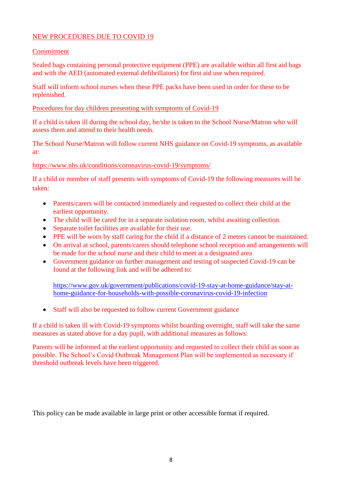#### NEW PROCEDURES DUE TO COVID 19

#### Commitment

Sealed bags containing personal protective equipment (PPE) are available within all first aid bags and with the AED (automated external defibrillators) for first aid use when required.

Staff will inform school nurses when these PPE packs have been used in order for these to be replenished.

Procedures for day children presenting with symptoms of Covid-19

If a child is taken ill during the school day, he/she is taken to the School Nurse/Matron who will assess them and attend to their health needs.

The School Nurse/Matron will follow current NHS guidance on Covid-19 symptoms, as available at:

<https://www.nhs.uk/conditions/coronavirus-covid-19/symptoms/>

If a child or member of staff presents with symptoms of Covid-19 the following measures will be taken:

- Parents/carers will be contacted immediately and requested to collect their child at the earliest opportunity.
- The child will be cared for in a separate isolation room, whilst awaiting collection.
- Separate toilet facilities are available for their use.
- PPE will be worn by staff caring for the child if a distance of 2 metres cannot be maintained.
- On arrival at school, parents/carers should telephone school reception and arrangements will be made for the school nurse and their child to meet at a designated area
- Government guidance on further management and testing of suspected Covid-19 can be found at the following link and will be adhered to:

[https://www.gov.uk/government/publications/covid-19-stay-at-home-guidance/stay-at](https://www.gov.uk/government/publications/covid-19-stay-at-home-guidance/stay-at-home-guidance-for-households-with-possible-coronavirus-covid-19-infection)[home-guidance-for-households-with-possible-coronavirus-covid-19-infection](https://www.gov.uk/government/publications/covid-19-stay-at-home-guidance/stay-at-home-guidance-for-households-with-possible-coronavirus-covid-19-infection)

Staff will also be requested to follow current Government guidance

If a child is taken ill with Covid-19 symptoms whilst boarding overnight, staff will take the same measures as stated above for a day pupil, with additional measures as follows:

Parents will be informed at the earliest opportunity and requested to collect their child as soon as possible. The School's Covid Outbreak Management Plan will be implemented as necessary if threshold outbreak levels have been triggered.

This policy can be made available in large print or other accessible format if required.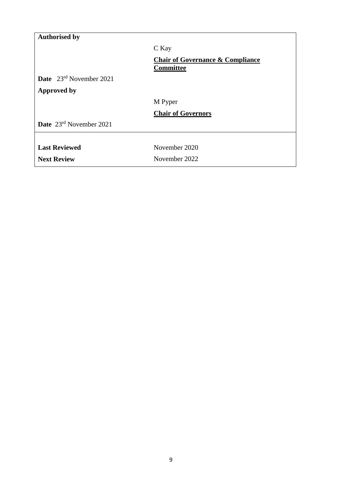| <b>Authorised by</b>                       |                                                          |
|--------------------------------------------|----------------------------------------------------------|
|                                            | C Kay                                                    |
|                                            | <b>Chair of Governance &amp; Compliance</b><br>Committee |
| <b>Date</b> $23^{\text{rd}}$ November 2021 |                                                          |
| <b>Approved by</b>                         |                                                          |
|                                            | M Pyper                                                  |
|                                            | <b>Chair of Governors</b>                                |
| Date 23rd November 2021                    |                                                          |
|                                            |                                                          |
| <b>Last Reviewed</b>                       | November 2020                                            |
| <b>Next Review</b>                         | November 2022                                            |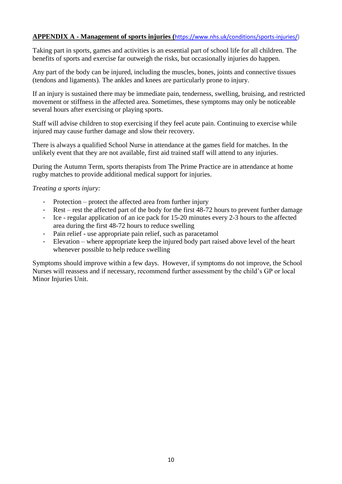## **APPENDIX A - Management of sports injuries (**[https://www.nhs.uk/conditions/sports-injuries/\)](https://www.nhs.uk/conditions/sports-injuries/)

Taking part in sports, games and activities is an essential part of school life for all children. The benefits of sports and exercise far outweigh the risks, but occasionally injuries do happen.

Any part of the body can be injured, including the muscles, bones, joints and connective tissues (tendons and ligaments). The ankles and knees are particularly prone to injury.

If an injury is sustained there may be immediate pain, tenderness, swelling, bruising, and restricted movement or stiffness in the affected area. Sometimes, these symptoms may only be noticeable several hours after exercising or playing sports.

Staff will advise children to stop exercising if they feel acute pain. Continuing to exercise while injured may cause further damage and slow their recovery.

There is always a qualified School Nurse in attendance at the games field for matches. In the unlikely event that they are not available, first aid trained staff will attend to any injuries.

During the Autumn Term, sports therapists from The Prime Practice are in attendance at home rugby matches to provide additional medical support for injuries.

*Treating a sports injury:*

- Protection protect the affected area from further injury
- Rest rest the affected part of the body for the first 48-72 hours to prevent further damage
- Ice regular application of an ice pack for 15-20 minutes every 2-3 hours to the affected area during the first 48-72 hours to reduce swelling
- Pain relief use appropriate pain relief, such as paracetamol
- Elevation where appropriate keep the injured body part raised above level of the heart whenever possible to help reduce swelling

Symptoms should improve within a few days. However, if symptoms do not improve, the School Nurses will reassess and if necessary, recommend further assessment by the child's GP or local Minor Injuries Unit.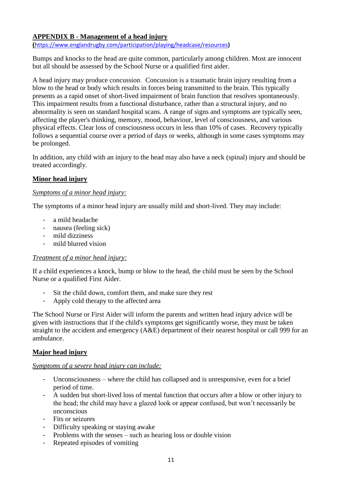# **APPENDIX B - Management of a head injury**

**(**<https://www.englandrugby.com/participation/playing/headcase/resources>**)**

Bumps and knocks to the head are quite common, particularly among children. Most are innocent but all should be assessed by the School Nurse or a qualified first aider.

A head injury may produce concussion. Concussion is a traumatic brain injury resulting from a blow to the head or body which results in forces being transmitted to the brain. This typically presents as a rapid onset of short-lived impairment of brain function that resolves spontaneously. This impairment results from a functional disturbance, rather than a structural injury, and no abnormality is seen on standard hospital scans. A range of signs and symptoms are typically seen, affecting the player's thinking, memory, mood, behaviour, level of consciousness, and various physical effects. Clear loss of consciousness occurs in less than 10% of cases. Recovery typically follows a sequential course over a period of days or weeks, although in some cases symptoms may be prolonged.

In addition, any child with an injury to the head may also have a neck (spinal) injury and should be treated accordingly.

#### **Minor head injury**

#### *Symptoms of a minor head injury:*

The symptoms of a minor head injury are usually mild and short-lived. They may include:

- a mild headache
- nausea (feeling sick)
- mild dizziness
- mild blurred vision

#### *Treatment of a minor head injury:*

If a child experiences a knock, bump or blow to the head, the child must be seen by the School Nurse or a qualified First Aider.

- Sit the child down, comfort them, and make sure they rest
- Apply cold therapy to the affected area

The School Nurse or First Aider will inform the parents and written head injury advice will be given with instructions that if the child's symptoms get significantly worse, they must be taken straight to the accident and emergency (A&E) department of their nearest hospital or call 999 for an ambulance.

#### **Major head injury**

#### *Symptoms of a severe head injury can include:*

- Unconsciousness where the child has collapsed and is unresponsive, even for a brief period of time.
- A sudden but short-lived loss of mental function that occurs after a blow or other injury to the head; the child may have a glazed look or appear confused, but won't necessarily be unconscious
- Fits or seizures
- Difficulty speaking or staying awake
- Problems with the senses such as hearing loss or double vision
- Repeated episodes of vomiting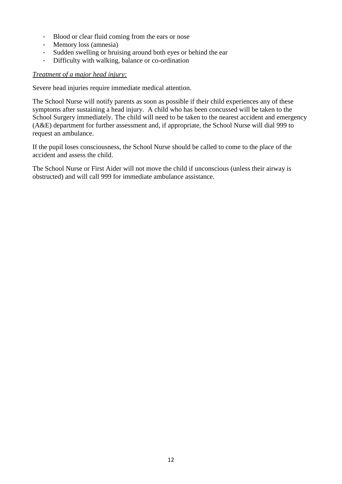- Blood or clear fluid coming from the ears or nose
- Memory loss (amnesia)
- Sudden swelling or bruising around both eyes or behind the ear
- Difficulty with walking, balance or co-ordination

### *Treatment of a major head injury:*

Severe head injuries require immediate medical attention.

The School Nurse will notify parents as soon as possible if their child experiences any of these symptoms after sustaining a head injury. A child who has been concussed will be taken to the School Surgery immediately. The child will need to be taken to the nearest accident and emergency (A&E) department for further assessment and, if appropriate, the School Nurse will dial 999 to request an ambulance.

If the pupil loses consciousness, the School Nurse should be called to come to the place of the accident and assess the child.

The School Nurse or First Aider will not move the child if unconscious (unless their airway is obstructed) and will call 999 for immediate ambulance assistance.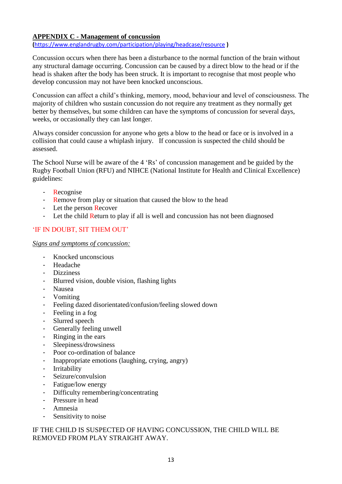## **APPENDIX C - Management of concussion**

**(**<https://www.englandrugby.com/participation/playing/headcase/resource> **)**

Concussion occurs when there has been a disturbance to the normal function of the brain without any structural damage occurring. Concussion can be caused by a direct blow to the head or if the head is shaken after the body has been struck. It is important to recognise that most people who develop concussion may not have been knocked unconscious.

Concussion can affect a child's thinking, memory, mood, behaviour and level of consciousness. The majority of children who sustain concussion do not require any treatment as they normally get better by themselves, but some children can have the symptoms of concussion for several days, weeks, or occasionally they can last longer.

Always consider concussion for anyone who gets a blow to the head or face or is involved in a collision that could cause a whiplash injury. If concussion is suspected the child should be assessed.

The School Nurse will be aware of the 4 'Rs' of concussion management and be guided by the Rugby Football Union (RFU) and NIHCE (National Institute for Health and Clinical Excellence) guidelines:

- Recognise
- Remove from play or situation that caused the blow to the head
- Let the person Recover
- Let the child Return to play if all is well and concussion has not been diagnosed

#### 'IF IN DOUBT, SIT THEM OUT'

*Signs and symptoms of concussion:*

- Knocked unconscious
- Headache
- Dizziness
- Blurred vision, double vision, flashing lights
- Nausea
- Vomiting
- Feeling dazed disorientated/confusion/feeling slowed down
- Feeling in a fog
- Slurred speech
- Generally feeling unwell
- Ringing in the ears
- Sleepiness/drowsiness
- Poor co-ordination of balance
- Inappropriate emotions (laughing, crying, angry)
- Irritability
- Seizure/convulsion
- Fatigue/low energy
- Difficulty remembering/concentrating
- Pressure in head
- Amnesia
- Sensitivity to noise

#### IF THE CHILD IS SUSPECTED OF HAVING CONCUSSION, THE CHILD WILL BE REMOVED FROM PLAY STRAIGHT AWAY.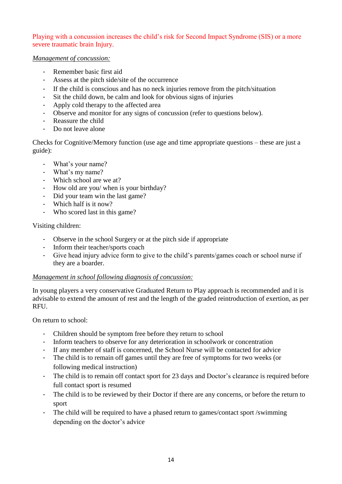### Playing with a concussion increases the child's risk for Second Impact Syndrome (SIS) or a more severe traumatic brain Injury.

#### *Management of concussion:*

- Remember basic first aid
- Assess at the pitch side/site of the occurrence
- If the child is conscious and has no neck injuries remove from the pitch/situation
- Sit the child down, be calm and look for obvious signs of injuries
- Apply cold therapy to the affected area
- Observe and monitor for any signs of concussion (refer to questions below).
- Reassure the child
- Do not leave alone

Checks for Cognitive/Memory function (use age and time appropriate questions – these are just a guide):

- What's your name?
- What's my name?
- Which school are we at?
- How old are you/ when is your birthday?
- Did your team win the last game?
- Which half is it now?
- Who scored last in this game?

#### Visiting children:

- Observe in the school Surgery or at the pitch side if appropriate
- Inform their teacher/sports coach
- Give head injury advice form to give to the child's parents/games coach or school nurse if they are a boarder.

#### *Management in school following diagnosis of concussion:*

In young players a very conservative [Graduated Return to Play](http://www.englandrugby.com/mm/Document/General/General/01/32/13/39/4RecoverandReturntoPlay-2016_English.pdf) approach is recommended and it is advisable to extend the amount of rest and the length of the graded reintroduction of exertion, as per **RFU** 

On return to school:

- Children should be symptom free before they return to school
- Inform teachers to observe for any deterioration in schoolwork or concentration
- If any member of staff is concerned, the School Nurse will be contacted for advice
- The child is to remain off games until they are free of symptoms for two weeks (or following medical instruction)
- The child is to remain off contact sport for 23 days and Doctor's clearance is required before full contact sport is resumed
- The child is to be reviewed by their Doctor if there are any concerns, or before the return to sport
- The child will be required to have a phased return to games/contact sport /swimming depending on the doctor's advice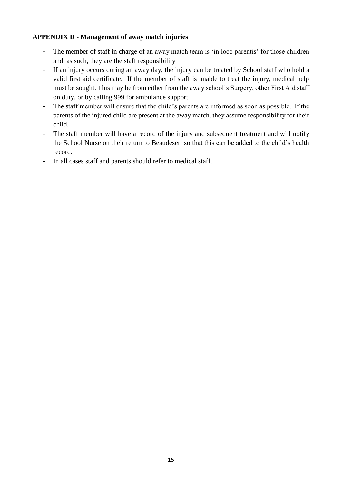#### **APPENDIX D - Management of away match injuries**

- The member of staff in charge of an away match team is 'in loco parentis' for those children and, as such, they are the staff responsibility
- If an injury occurs during an away day, the injury can be treated by School staff who hold a valid first aid certificate. If the member of staff is unable to treat the injury, medical help must be sought. This may be from either from the away school's Surgery, other First Aid staff on duty, or by calling 999 for ambulance support.
- The staff member will ensure that the child's parents are informed as soon as possible. If the parents of the injured child are present at the away match, they assume responsibility for their child.
- The staff member will have a record of the injury and subsequent treatment and will notify the School Nurse on their return to Beaudesert so that this can be added to the child's health record.
- In all cases staff and parents should refer to medical staff.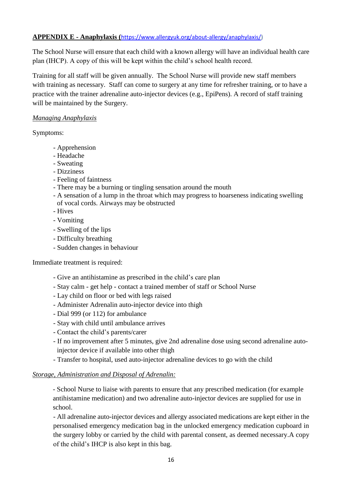# **APPENDIX E - Anaphylaxis (**[https://www.allergyuk.org/about-allergy/anaphylaxis/\)](https://www.allergyuk.org/about-allergy/anaphylaxis/)

The School Nurse will ensure that each child with a known allergy will have an individual health care plan (IHCP). A copy of this will be kept within the child's school health record.

Training for all staff will be given annually. The School Nurse will provide new staff members with training as necessary. Staff can come to surgery at any time for refresher training, or to have a practice with the trainer adrenaline auto-injector devices (e.g., EpiPens). A record of staff training will be maintained by the Surgery.

## *Managing Anaphylaxis*

Symptoms:

- Apprehension
- Headache
- Sweating
- Dizziness
- Feeling of faintness
- There may be a burning or tingling sensation around the mouth
- A sensation of a lump in the throat which may progress to hoarseness indicating swelling of vocal cords. Airways may be obstructed
- Hives
- Vomiting
- Swelling of the lips
- Difficulty breathing
- Sudden changes in behaviour

Immediate treatment is required:

- Give an antihistamine as prescribed in the child's care plan
- Stay calm get help contact a trained member of staff or School Nurse
- Lay child on floor or bed with legs raised
- Administer Adrenalin auto-injector device into thigh
- Dial 999 (or 112) for ambulance
- Stay with child until ambulance arrives
- Contact the child's parents/carer
- If no improvement after 5 minutes, give 2nd adrenaline dose using second adrenaline autoinjector device if available into other thigh
- Transfer to hospital, used auto-injector adrenaline devices to go with the child

#### *Storage, Administration and Disposal of Adrenalin:*

- School Nurse to liaise with parents to ensure that any prescribed medication (for example antihistamine medication) and two adrenaline auto-injector devices are supplied for use in school.

- All adrenaline auto-injector devices and allergy associated medications are kept either in the personalised emergency medication bag in the unlocked emergency medication cupboard in the surgery lobby or carried by the child with parental consent, as deemed necessary.A copy of the child's IHCP is also kept in this bag.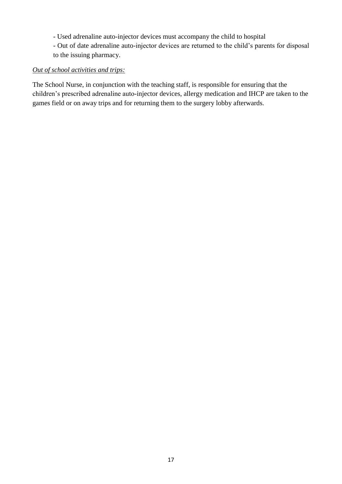- Used adrenaline auto-injector devices must accompany the child to hospital

- Out of date adrenaline auto-injector devices are returned to the child's parents for disposal to the issuing pharmacy.

### *Out of school activities and trips:*

The School Nurse, in conjunction with the teaching staff, is responsible for ensuring that the children's prescribed adrenaline auto-injector devices, allergy medication and IHCP are taken to the games field or on away trips and for returning them to the surgery lobby afterwards.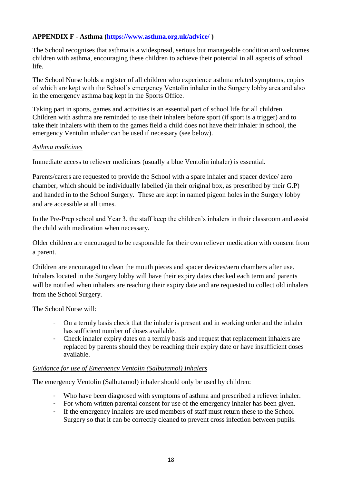# **APPENDIX F - Asthma [\(https://www.asthma.org.uk/advice/](https://www.asthma.org.uk/advice/) )**

The School recognises that asthma is a widespread, serious but manageable condition and welcomes children with asthma, encouraging these children to achieve their potential in all aspects of school life.

The School Nurse holds a register of all children who experience asthma related symptoms, copies of which are kept with the School's emergency Ventolin inhaler in the Surgery lobby area and also in the emergency asthma bag kept in the Sports Office.

Taking part in sports, games and activities is an essential part of school life for all children. Children with asthma are reminded to use their inhalers before sport (if sport is a trigger) and to take their inhalers with them to the games field a child does not have their inhaler in school, the emergency Ventolin inhaler can be used if necessary (see below).

## *Asthma medicines*

Immediate access to reliever medicines (usually a blue Ventolin inhaler) is essential.

Parents/carers are requested to provide the School with a spare inhaler and spacer device/ aero chamber, which should be individually labelled (in their original box, as prescribed by their G.P) and handed in to the School Surgery. These are kept in named pigeon holes in the Surgery lobby and are accessible at all times.

In the Pre-Prep school and Year 3, the staff keep the children's inhalers in their classroom and assist the child with medication when necessary.

Older children are encouraged to be responsible for their own reliever medication with consent from a parent.

Children are encouraged to clean the mouth pieces and spacer devices/aero chambers after use. Inhalers located in the Surgery lobby will have their expiry dates checked each term and parents will be notified when inhalers are reaching their expiry date and are requested to collect old inhalers from the School Surgery.

The School Nurse will:

- On a termly basis check that the inhaler is present and in working order and the inhaler has sufficient number of doses available.
- Check inhaler expiry dates on a termly basis and request that replacement inhalers are replaced by parents should they be reaching their expiry date or have insufficient doses available.

# *Guidance for use of Emergency Ventolin (Salbutamol) Inhalers*

The emergency Ventolin (Salbutamol) inhaler should only be used by children:

- Who have been diagnosed with symptoms of asthma and prescribed a reliever inhaler.
- For whom written parental consent for use of the emergency inhaler has been given.
- If the emergency inhalers are used members of staff must return these to the School Surgery so that it can be correctly cleaned to prevent cross infection between pupils.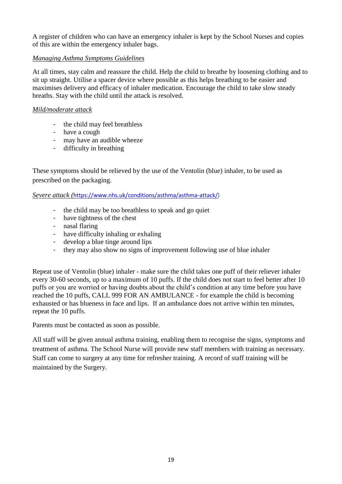A register of children who can have an emergency inhaler is kept by the School Nurses and copies of this are within the emergency inhaler bags.

### *Managing Asthma Symptoms Guidelines*

At all times, stay calm and reassure the child. Help the child to breathe by loosening clothing and to sit up straight. Utilise a spacer device where possible as this helps breathing to be easier and maximises delivery and efficacy of inhaler medication. Encourage the child to take slow steady breaths. Stay with the child until the attack is resolved.

## *Mild/moderate attack*

- the child may feel breathless
- have a cough
- may have an audible wheeze
- difficulty in breathing

These symptoms should be relieved by the use of the Ventolin (blue) inhaler, to be used as prescribed on the packaging.

*Severe attack (*[https://www.nhs.uk/conditions/asthma/asthma-attack/\)](https://www.nhs.uk/conditions/asthma/asthma-attack/)

- the child may be too breathless to speak and go quiet
- have tightness of the chest
- nasal flaring
- have difficulty inhaling or exhaling
- develop a blue tinge around lips
- they may also show no signs of improvement following use of blue inhaler

Repeat use of Ventolin (blue) inhaler - make sure the child takes one puff of their reliever inhaler every 30-60 seconds, up to a maximum of 10 puffs. If the child does not start to feel better after 10 puffs or you are worried or having doubts about the child's condition at any time before you have reached the 10 puffs, CALL 999 FOR AN AMBULANCE - for example the child is becoming exhausted or has blueness in face and lips. If an ambulance does not arrive within ten minutes, repeat the 10 puffs.

Parents must be contacted as soon as possible.

All staff will be given annual asthma training, enabling them to recognise the signs, symptoms and treatment of asthma. The School Nurse will provide new staff members with training as necessary. Staff can come to surgery at any time for refresher training. A record of staff training will be maintained by the Surgery.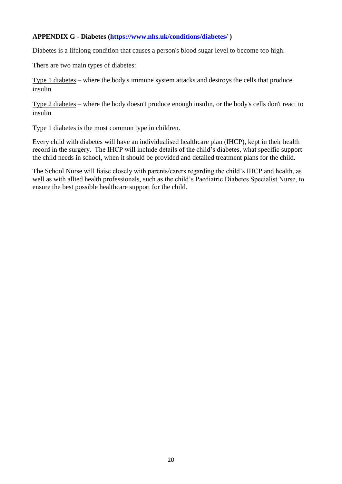## **APPENDIX G - Diabetes [\(https://www.nhs.uk/conditions/diabetes/](https://www.nhs.uk/conditions/diabetes/) )**

Diabetes is a lifelong condition that causes a person's blood sugar level to become too high.

There are two main types of diabetes:

[Type 1 diabetes](http://www.nhs.uk/conditions/Diabetes-type1/Pages/Introduction.aspx) – where the body's immune system attacks and destroys the cells that produce insulin

[Type 2 diabetes](http://www.nhs.uk/conditions/Diabetes-type2/Pages/Introduction.aspx) – where the body doesn't produce enough insulin, or the body's cells don't react to insulin

Type 1 diabetes is the most common type in children.

Every child with diabetes will have an individualised healthcare plan (IHCP), kept in their health record in the surgery. The IHCP will include details of the child's diabetes, what specific support the child needs in school, when it should be provided and detailed treatment plans for the child.

The School Nurse will liaise closely with parents/carers regarding the child's IHCP and health, as well as with allied health professionals, such as the child's Paediatric Diabetes Specialist Nurse, to ensure the best possible healthcare support for the child.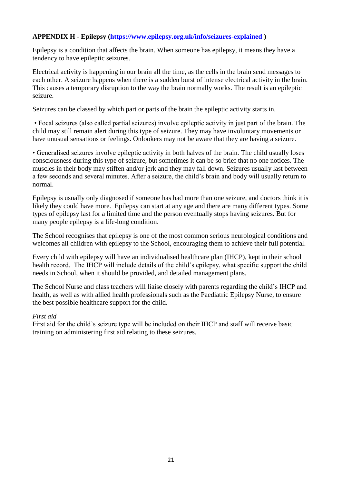# **APPENDIX H - Epilepsy [\(https://www.epilepsy.org.uk/info/seizures-explained](https://www.epilepsy.org.uk/info/seizures-explained) )**

Epilepsy is a condition that affects the brain. When someone has epilepsy, it means they have a tendency to have epileptic seizures.

Electrical activity is happening in our brain all the time, as the cells in the brain send messages to each other. A seizure happens when there is a sudden burst of intense electrical activity in the brain. This causes a temporary disruption to the way the brain normally works. The result is an epileptic seizure.

Seizures can be classed by which part or parts of the brain the epileptic activity starts in.

• Focal seizures (also called partial seizures) involve epileptic activity in just part of the brain. The child may still remain alert during this type of seizure. They may have involuntary movements or have unusual sensations or feelings. Onlookers may not be aware that they are having a seizure.

• Generalised seizures involve epileptic activity in both halves of the brain. The child usually loses consciousness during this type of seizure, but sometimes it can be so brief that no one notices. The muscles in their body may stiffen and/or jerk and they may fall down. Seizures usually last between a few seconds and several minutes. After a seizure, the child's brain and body will usually return to normal.

Epilepsy is usually only diagnosed if someone has had more than one seizure, and doctors think it is likely they could have more. Epilepsy can start at any age and there are many different types. Some types of epilepsy last for a limited time and the person eventually stops having seizures. But for many people epilepsy is a life-long condition.

The School recognises that epilepsy is one of the most common serious neurological conditions and welcomes all children with epilepsy to the School, encouraging them to achieve their full potential.

Every child with epilepsy will have an individualised healthcare plan (IHCP), kept in their school health record. The IHCP will include details of the child's epilepsy, what specific support the child needs in School, when it should be provided, and detailed management plans.

The School Nurse and class teachers will liaise closely with parents regarding the child's IHCP and health, as well as with allied health professionals such as the Paediatric Epilepsy Nurse, to ensure the best possible healthcare support for the child.

#### *First aid*

First aid for the child's seizure type will be included on their IHCP and staff will receive basic training on administering first aid relating to these seizures.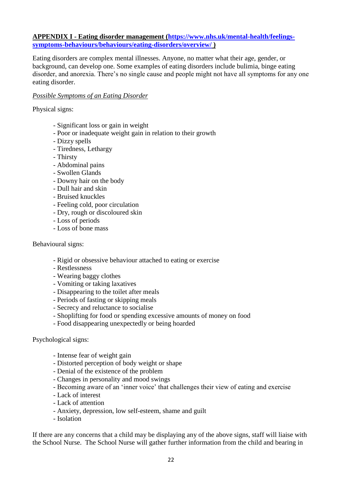#### **APPENDIX I - Eating disorder management [\(https://www.nhs.uk/mental-health/feelings](https://www.nhs.uk/mental-health/feelings-symptoms-behaviours/behaviours/eating-disorders/overview/)[symptoms-behaviours/behaviours/eating-disorders/overview/](https://www.nhs.uk/mental-health/feelings-symptoms-behaviours/behaviours/eating-disorders/overview/) )**

Eating disorders are complex mental illnesses. Anyone, no matter what their age, gender, or background, can develop one. Some examples of eating disorders include bulimia, binge eating disorder, and anorexia. There's no single cause and people might not have all symptoms for any one eating disorder.

#### *Possible Symptoms of an Eating Disorder*

Physical signs:

- Significant loss or gain in weight
- Poor or inadequate weight gain in relation to their growth
- Dizzy spells
- Tiredness, Lethargy
- Thirsty
- Abdominal pains
- Swollen Glands
- Downy hair on the body
- Dull hair and skin
- Bruised knuckles
- Feeling cold, poor circulation
- Dry, rough or discoloured skin
- Loss of periods
- Loss of bone mass

#### Behavioural signs:

- Rigid or obsessive behaviour attached to eating or exercise
- Restlessness
- Wearing baggy clothes
- Vomiting or taking laxatives
- Disappearing to the toilet after meals
- Periods of fasting or skipping meals
- Secrecy and reluctance to socialise
- Shoplifting for food or spending excessive amounts of money on food
- Food disappearing unexpectedly or being hoarded

#### Psychological signs:

- Intense fear of weight gain
- Distorted perception of body weight or shape
- Denial of the existence of the problem
- Changes in personality and mood swings
- Becoming aware of an 'inner voice' that challenges their view of eating and exercise
- Lack of interest
- Lack of attention
- Anxiety, depression, low self-esteem, shame and guilt
- Isolation

If there are any concerns that a child may be displaying any of the above signs, staff will liaise with the School Nurse. The School Nurse will gather further information from the child and bearing in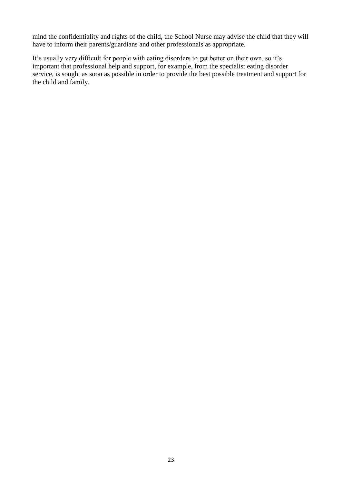mind the confidentiality and rights of the child, the School Nurse may advise the child that they will have to inform their parents/guardians and other professionals as appropriate.

It's usually very difficult for people with eating disorders to get better on their own, so it's important that professional help and support, for example, from the specialist eating disorder service, is sought as soon as possible in order to provide the best possible treatment and support for the child and family.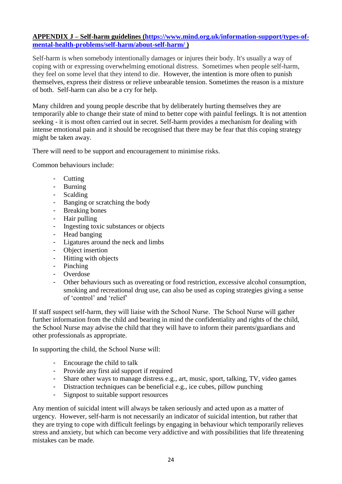### **APPENDIX J – Self-harm guidelines [\(https://www.mind.org.uk/information-support/types-of](https://www.mind.org.uk/information-support/types-of-mental-health-problems/self-harm/about-self-harm/)[mental-health-problems/self-harm/about-self-harm/](https://www.mind.org.uk/information-support/types-of-mental-health-problems/self-harm/about-self-harm/) )**

Self-harm is when somebody intentionally damages or injures their body. It's usually a way of coping with or expressing overwhelming emotional distress. Sometimes when people self-harm, they feel on some level that they intend to die. However, the intention is more often to punish themselves, express their distress or relieve unbearable tension. Sometimes the reason is a mixture of both. Self-harm can also be a cry for help.

Many children and young people describe that by deliberately hurting themselves they are temporarily able to change their state of mind to better cope with painful feelings. It is not attention seeking - it is most often carried out in secret. Self-harm provides a mechanism for dealing with intense emotional pain and it should be recognised that there may be fear that this coping strategy might be taken away.

There will need to be support and encouragement to minimise risks.

Common behaviours include:

- **Cutting**
- Burning
- Scalding
- Banging or scratching the body
- Breaking bones
- Hair pulling
- Ingesting toxic substances or objects
- Head banging
- Ligatures around the neck and limbs
- Object insertion
- Hitting with objects
- Pinching
- Overdose
- Other behaviours such as overeating or food restriction, excessive alcohol consumption, smoking and recreational drug use, can also be used as coping strategies giving a sense of 'control' and 'relief'

If staff suspect self-harm, they will liaise with the School Nurse. The School Nurse will gather further information from the child and bearing in mind the confidentiality and rights of the child, the School Nurse may advise the child that they will have to inform their parents/guardians and other professionals as appropriate.

In supporting the child, the School Nurse will:

- Encourage the child to talk
- Provide any first aid support if required
- Share other ways to manage distress e.g., art, music, sport, talking, TV, video games
- Distraction techniques can be beneficial e.g., ice cubes, pillow punching
- Signpost to suitable support resources

Any mention of suicidal intent will always be taken seriously and acted upon as a matter of urgency. However, self-harm is not necessarily an indicator of suicidal intention, but rather that they are trying to cope with difficult feelings by engaging in behaviour which temporarily relieves stress and anxiety, but which can become very addictive and with possibilities that life threatening mistakes can be made.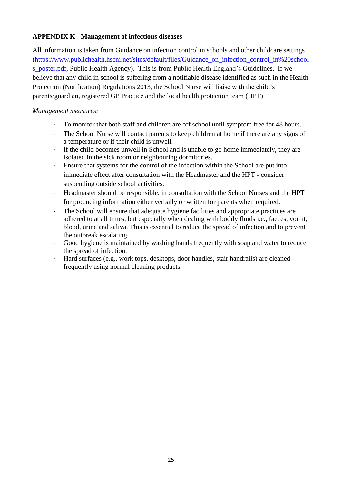# **APPENDIX K - Management of infectious diseases**

All information is taken from Guidance on infection control in schools and other childcare settings [\(https://www.publichealth.hscni.net/sites/default/files/Guidance\\_on\\_infection\\_control\\_in%20school](https://www.publichealth.hscni.net/sites/default/files/Guidance_on_infection_control_in%20schools_poster.pdf) s poster.pdf, Public Health Agency). This is from Public Health England's Guidelines. If we believe that any child in school is suffering from a notifiable disease identified as such in the Health Protection (Notification) Regulations 2013, the School Nurse will liaise with the child's parents/guardian, registered GP Practice and the local health protection team (HPT)

### *Management measures:*

- To monitor that both staff and children are off school until symptom free for 48 hours.
- The School Nurse will contact parents to keep children at home if there are any signs of a temperature or if their child is unwell.
- If the child becomes unwell in School and is unable to go home immediately, they are isolated in the sick room or neighbouring dormitories.
- Ensure that systems for the control of the infection within the School are put into immediate effect after consultation with the Headmaster and the HPT - consider suspending outside school activities.
- Headmaster should be responsible, in consultation with the School Nurses and the HPT for producing information either verbally or written for parents when required.
- The School will ensure that adequate hygiene facilities and appropriate practices are adhered to at all times, but especially when dealing with bodily fluids i.e., faeces, vomit, blood, urine and saliva. This is essential to reduce the spread of infection and to prevent the outbreak escalating.
- Good hygiene is maintained by washing hands frequently with soap and water to reduce the spread of infection.
- Hard surfaces (e.g., work tops, desktops, door handles, stair handrails) are cleaned frequently using normal cleaning products.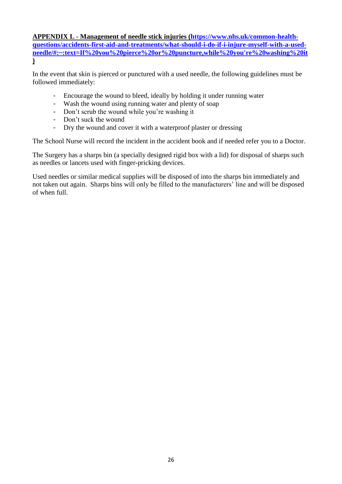**APPENDIX L - Management of needle stick injuries [\(https://www.nhs.uk/common-health](https://www.nhs.uk/common-health-questions/accidents-first-aid-and-treatments/what-should-i-do-if-i-injure-myself-with-a-used-needle/#:~:text=If%20you%20pierce%20or%20puncture,while%20you)[questions/accidents-first-aid-and-treatments/what-should-i-do-if-i-injure-myself-with-a-used](https://www.nhs.uk/common-health-questions/accidents-first-aid-and-treatments/what-should-i-do-if-i-injure-myself-with-a-used-needle/#:~:text=If%20you%20pierce%20or%20puncture,while%20you)[needle/#:~:text=If%20you%20pierce%20or%20puncture,while%20you're%20washing%20it](https://www.nhs.uk/common-health-questions/accidents-first-aid-and-treatments/what-should-i-do-if-i-injure-myself-with-a-used-needle/#:~:text=If%20you%20pierce%20or%20puncture,while%20you) )**

In the event that skin is pierced or punctured with a used needle, the following guidelines must be followed immediately:

- Encourage the wound to bleed, ideally by holding it under running water
- Wash the wound using running water and plenty of soap
- Don't scrub the wound while you're washing it
- Don't suck the wound
- Dry the wound and cover it with a waterproof plaster or dressing

The School Nurse will record the incident in the accident book and if needed refer you to a Doctor.

The Surgery has a sharps bin (a specially designed rigid box with a lid) for disposal of sharps such as needles or lancets used with finger-pricking devices.

Used needles or similar medical supplies will be disposed of into the sharps bin immediately and not taken out again. Sharps bins will only be filled to the manufacturers' line and will be disposed of when full.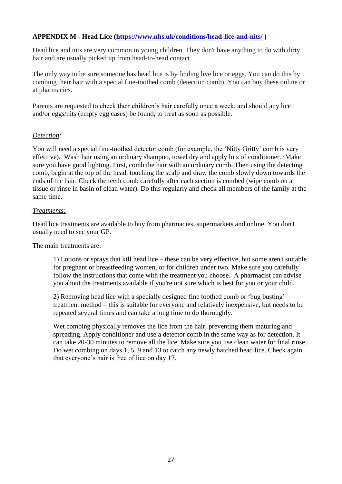# **APPENDIX M - Head Lice [\(https://www.nhs.uk/conditions/head-lice-and-nits/](https://www.nhs.uk/conditions/head-lice-and-nits/) )**

Head lice and nits are very common in young children. They don't have anything to do with dirty hair and are usually picked up from head-to-head contact.

The only way to be sure someone has head lice is by finding live lice or eggs. You can do this by combing their hair with a special fine-toothed comb (detection comb). You can buy these online or at pharmacies.

Parents are requested to check their children's hair carefully once a week, and should any lice and/or eggs/nits (empty egg cases) be found, to treat as soon as possible.

#### *Detection:*

You will need a special fine-toothed detector comb (for example, the 'Nitty Gritty' comb is very effective). Wash hair using an ordinary shampoo, towel dry and apply lots of conditioner. ·Make sure you have good lighting. First, comb the hair with an ordinary comb. Then using the detecting comb, begin at the top of the head, touching the scalp and draw the comb slowly down towards the ends of the hair. Check the teeth comb carefully after each section is combed (wipe comb on a tissue or rinse in basin of clean water). Do this regularly and check all members of the family at the same time.

#### *Treatments:*

Head lice treatments are available to buy from pharmacies, supermarkets and online. You don't usually need to see your GP.

The main treatments are:

1) Lotions or sprays that kill head lice – these can be very effective, but some aren't suitable for pregnant or breastfeeding women, or for children under two. Make sure you carefully follow the instructions that come with the treatment you choose. A pharmacist can advise you about the treatments available if you're not sure which is best for you or your child.

2) Removing head lice with a specially designed fine toothed comb or 'bug busting' treatment method – this is suitable for everyone and relatively inexpensive, but needs to be repeated several times and can take a long time to do thoroughly.

Wet combing physically removes the lice from the hair, preventing them maturing and spreading. Apply conditioner and use a detector comb in the same way as for detection. It can take 20-30 minutes to remove all the lice. Make sure you use clean water for final rinse. Do wet combing on days 1, 5, 9 and 13 to catch any newly hatched head lice. Check again that everyone's hair is free of lice on day 17.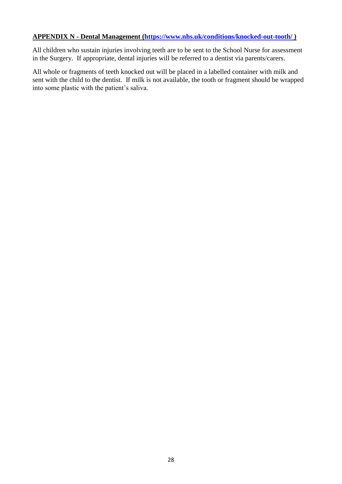#### **APPENDIX N - Dental Management [\(https://www.nhs.uk/conditions/knocked-out-tooth/](https://www.nhs.uk/conditions/knocked-out-tooth/) )**

All children who sustain injuries involving teeth are to be sent to the School Nurse for assessment in the Surgery. If appropriate, dental injuries will be referred to a dentist via parents/carers.

All whole or fragments of teeth knocked out will be placed in a labelled container with milk and sent with the child to the dentist. If milk is not available, the tooth or fragment should be wrapped into some plastic with the patient's saliva.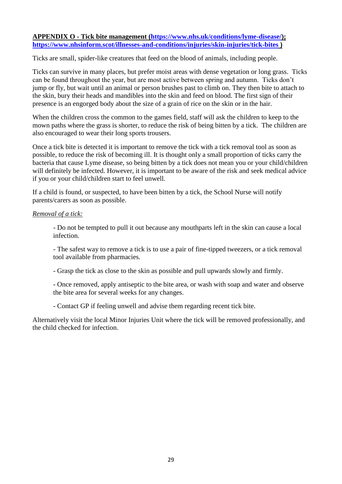#### **APPENDIX O - Tick bite management [\(https://www.nhs.uk/conditions/lyme-disease/\)](https://www.nhs.uk/conditions/lyme-disease/); <https://www.nhsinform.scot/illnesses-and-conditions/injuries/skin-injuries/tick-bites> )**

Ticks are small, spider-like creatures that feed on the blood of animals, including people.

Ticks can survive in many places, but prefer moist areas with dense vegetation or long grass. Ticks can be found throughout the year, but are most active between spring and autumn. Ticks don't jump or fly, but wait until an animal or person brushes past to climb on. They then bite to attach to the skin, bury their heads and mandibles into the skin and feed on blood. The first sign of their presence is an engorged body about the size of a grain of rice on the skin or in the hair.

When the children cross the common to the games field, staff will ask the children to keep to the mown paths where the grass is shorter, to reduce the risk of being bitten by a tick. The children are also encouraged to wear their long sports trousers.

Once a tick bite is detected it is important to remove the tick with a tick removal tool as soon as possible, to reduce the risk of becoming ill. It is thought only a small proportion of ticks carry the bacteria that cause Lyme disease, so being bitten by a tick does not mean you or your child/children will definitely be infected. However, it is important to be aware of the risk and seek medical advice if you or your child/children start to feel unwell.

If a child is found, or suspected, to have been bitten by a tick, the School Nurse will notify parents/carers as soon as possible.

#### *Removal of a tick:*

- Do not be tempted to pull it out because any mouthparts left in the skin can cause a local infection.

- The safest way to remove a tick is to use a pair of fine-tipped tweezers, or a tick removal tool available from pharmacies.

- Grasp the tick as close to the skin as possible and pull upwards slowly and firmly.

- Once removed, apply antiseptic to the bite area, or wash with soap and water and observe the bite area for several weeks for any changes.

- Contact GP if feeling unwell and advise them regarding recent tick bite.

Alternatively visit the local Minor Injuries Unit where the tick will be removed professionally, and the child checked for infection.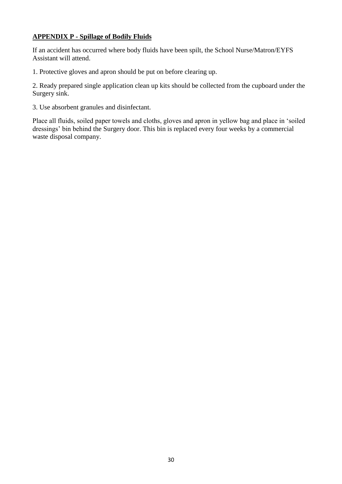# **APPENDIX P - Spillage of Bodily Fluids**

If an accident has occurred where body fluids have been spilt, the School Nurse/Matron/EYFS Assistant will attend.

1. Protective gloves and apron should be put on before clearing up.

2. Ready prepared single application clean up kits should be collected from the cupboard under the Surgery sink.

3. Use absorbent granules and disinfectant.

Place all fluids, soiled paper towels and cloths, gloves and apron in yellow bag and place in 'soiled dressings' bin behind the Surgery door. This bin is replaced every four weeks by a commercial waste disposal company.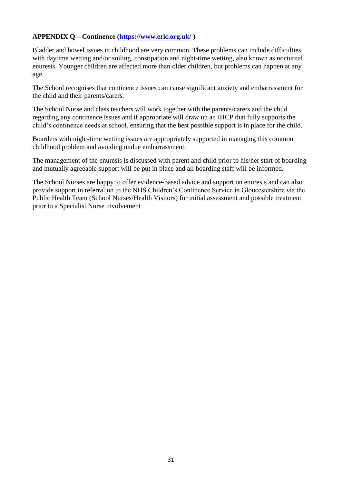# **APPENDIX Q – Continence [\(https://www.eric.org.uk/](https://www.eric.org.uk/) )**

Bladder and bowel issues in childhood are very common. These problems can include difficulties with daytime wetting and/or soiling, constipation and night-time wetting, also known as nocturnal enuresis. Younger children are affected more than older children, but problems can happen at any age.

The School recognises that continence issues can cause significant anxiety and embarrassment for the child and their parents/carers.

The School Nurse and class teachers will work together with the parents/carers and the child regarding any continence issues and if appropriate will draw up an IHCP that fully supports the child's continence needs at school, ensuring that the best possible support is in place for the child.

Boarders with night-time wetting issues are appropriately supported in managing this common childhood problem and avoiding undue embarrassment.

The management of the enuresis is discussed with parent and child prior to his/her start of boarding and mutually agreeable support will be put in place and all boarding staff will be informed.

The School Nurses are happy to offer evidence-based advice and support on enuresis and can also provide support in referral on to the NHS Children's Continence Service in Gloucestershire via the Public Health Team (School Nurses/Health Visitors) for initial assessment and possible treatment prior to a Specialist Nurse involvement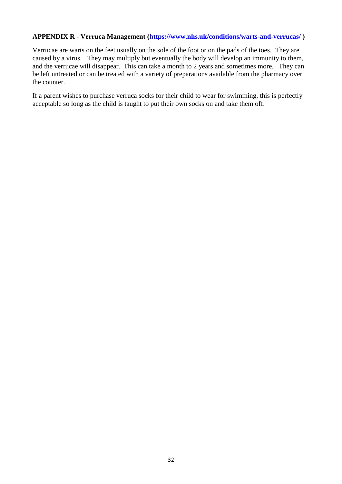## **APPENDIX R - Verruca Management [\(https://www.nhs.uk/conditions/warts-and-verrucas/](https://www.nhs.uk/conditions/warts-and-verrucas/) )**

Verrucae are warts on the feet usually on the sole of the foot or on the pads of the toes. They are caused by a virus. They may multiply but eventually the body will develop an immunity to them, and the verrucae will disappear. This can take a month to 2 years and sometimes more. They can be left untreated or can be treated with a variety of preparations available from the pharmacy over the counter.

If a parent wishes to purchase verruca socks for their child to wear for swimming, this is perfectly acceptable so long as the child is taught to put their own socks on and take them off.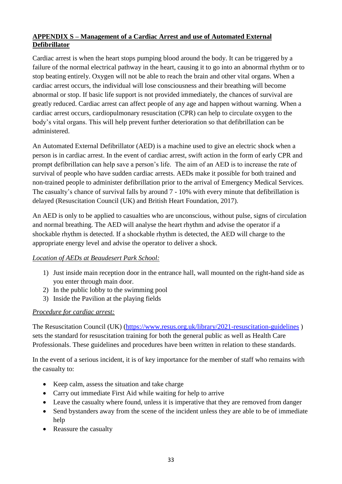# **APPENDIX S – Management of a Cardiac Arrest and use of Automated External Defibrillator**

Cardiac arrest is when the heart stops pumping blood around the body. It can be triggered by a failure of the normal electrical pathway in the heart, causing it to go into an abnormal rhythm or to stop beating entirely. Oxygen will not be able to reach the brain and other vital organs. When a cardiac arrest occurs, the individual will lose consciousness and their breathing will become abnormal or stop. If basic life support is not provided immediately, the chances of survival are greatly reduced. Cardiac arrest can affect people of any age and happen without warning. When a cardiac arrest occurs, cardiopulmonary resuscitation (CPR) can help to circulate oxygen to the body's vital organs. This will help prevent further deterioration so that defibrillation can be administered.

An Automated External Defibrillator (AED) is a machine used to give an electric shock when a person is in cardiac arrest. In the event of cardiac arrest, swift action in the form of early CPR and prompt defibrillation can help save a person's life. The aim of an AED is to increase the rate of survival of people who have sudden cardiac arrests. AEDs make it possible for both trained and non-trained people to administer defibrillation prior to the arrival of Emergency Medical Services. The casualty's chance of survival falls by around 7 - 10% with every minute that defibrillation is delayed (Resuscitation Council (UK) and British Heart Foundation, 2017).

An AED is only to be applied to casualties who are unconscious, without pulse, signs of circulation and normal breathing. The AED will analyse the heart rhythm and advise the operator if a shockable rhythm is detected. If a shockable rhythm is detected, the AED will charge to the appropriate energy level and advise the operator to deliver a shock.

# *Location of AEDs at Beaudesert Park School:*

- 1) Just inside main reception door in the entrance hall, wall mounted on the right-hand side as you enter through main door.
- 2) In the public lobby to the swimming pool
- 3) Inside the Pavilion at the playing fields

#### *Procedure for cardiac arrest:*

The Resuscitation Council (UK) [\(https://www.resus.org.uk/library/2021-resuscitation-guidelines](https://www.resus.org.uk/library/2021-resuscitation-guidelines)) sets the standard for resuscitation training for both the general public as well as Health Care Professionals. These guidelines and procedures have been written in relation to these standards.

In the event of a serious incident, it is of key importance for the member of staff who remains with the casualty to:

- Keep calm, assess the situation and take charge
- Carry out immediate First Aid while waiting for help to arrive
- Leave the casualty where found, unless it is imperative that they are removed from danger
- Send bystanders away from the scene of the incident unless they are able to be of immediate help
- Reassure the casualty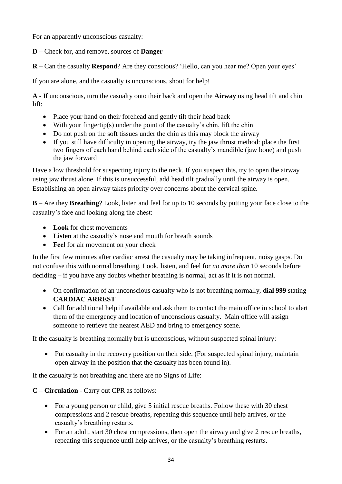For an apparently unconscious casualty:

**D** – Check for, and remove, sources of **Danger**

**R** – Can the casualty **Respond**? Are they conscious? 'Hello, can you hear me? Open your eyes'

If you are alone, and the casualty is unconscious, shout for help!

**A** - If unconscious, turn the casualty onto their back and open the **Airway** using head tilt and chin lift:

- Place your hand on their forehead and gently tilt their head back
- With your fingertip(s) under the point of the casualty's chin, lift the chin
- Do not push on the soft tissues under the chin as this may block the airway
- If you still have difficulty in opening the airway, try the jaw thrust method: place the first two fingers of each hand behind each side of the casualty's mandible (jaw bone) and push the jaw forward

Have a low threshold for suspecting injury to the neck. If you suspect this, try to open the airway using jaw thrust alone. If this is unsuccessful, add head tilt gradually until the airway is open. Establishing an open airway takes priority over concerns about the cervical spine.

**B** – Are they **Breathing**? Look, listen and feel for up to 10 seconds by putting your face close to the casualty's face and looking along the chest:

- **Look** for chest movements
- **Listen** at the casualty's nose and mouth for breath sounds
- **Feel** for air movement on your cheek

In the first few minutes after cardiac arrest the casualty may be taking infrequent, noisy gasps. Do not confuse this with normal breathing. Look, listen, and feel for *no more than* 10 seconds before deciding – if you have any doubts whether breathing is normal, act as if it is not normal.

- On confirmation of an unconscious casualty who is not breathing normally, **dial 999** stating **CARDIAC ARREST**
- Call for additional help if available and ask them to contact the main office in school to alert them of the emergency and location of unconscious casualty. Main office will assign someone to retrieve the nearest AED and bring to emergency scene.

If the casualty is breathing normally but is unconscious, without suspected spinal injury:

 Put casualty in the recovery position on their side. (For suspected spinal injury, maintain open airway in the position that the casualty has been found in).

If the casualty is not breathing and there are no Signs of Life:

# **C** – **Circulation** - Carry out CPR as follows:

- For a young person or child, give 5 initial rescue breaths. Follow these with 30 chest compressions and 2 rescue breaths, repeating this sequence until help arrives, or the casualty's breathing restarts.
- For an adult, start 30 chest compressions, then open the airway and give 2 rescue breaths, repeating this sequence until help arrives, or the casualty's breathing restarts.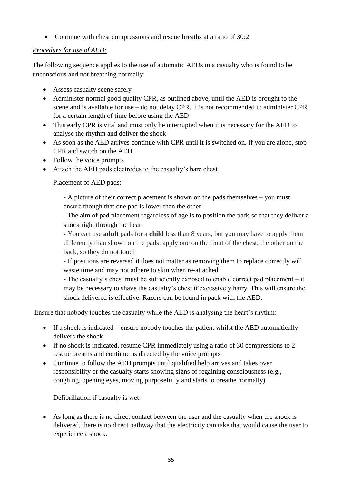• Continue with chest compressions and rescue breaths at a ratio of 30:2

# *Procedure for use of AED:*

The following sequence applies to the use of automatic AEDs in a casualty who is found to be unconscious and not breathing normally:

- Assess casualty scene safely
- Administer normal good quality CPR, as outlined above, until the AED is brought to the scene and is available for use – do not delay CPR. It is not recommended to administer CPR for a certain length of time before using the AED
- This early CPR is vital and must only be interrupted when it is necessary for the AED to analyse the rhythm and deliver the shock
- As soon as the AED arrives continue with CPR until it is switched on. If you are alone, stop CPR and switch on the AED
- Follow the voice prompts
- Attach the AED pads electrodes to the casualty's bare chest

Placement of AED pads:

- A picture of their correct placement is shown on the pads themselves – you must ensure though that one pad is lower than the other

- The aim of pad placement regardless of age is to position the pads so that they deliver a shock right through the heart

- You can use **adult** pads for a **child** less than 8 years, but you may have to apply them differently than shown on the pads: apply one on the front of the chest, the other on the back, so they do not touch

- If positions are reversed it does not matter as removing them to replace correctly will waste time and may not adhere to skin when re-attached

- The casualty's chest must be sufficiently exposed to enable correct pad placement – it may be necessary to shave the casualty's chest if excessively hairy. This will ensure the shock delivered is effective. Razors can be found in pack with the AED.

Ensure that nobody touches the casualty while the AED is analysing the heart's rhythm:

- $\bullet$  If a shock is indicated ensure nobody touches the patient whilst the AED automatically delivers the shock
- If no shock is indicated, resume CPR immediately using a ratio of 30 compressions to 2 rescue breaths and continue as directed by the voice prompts
- Continue to follow the AED prompts until qualified help arrives and takes over responsibility or the casualty starts showing signs of regaining consciousness (e.g., coughing, opening eyes, moving purposefully and starts to breathe normally)

Defibrillation if casualty is wet:

 As long as there is no direct contact between the user and the casualty when the shock is delivered, there is no direct pathway that the electricity can take that would cause the user to experience a shock.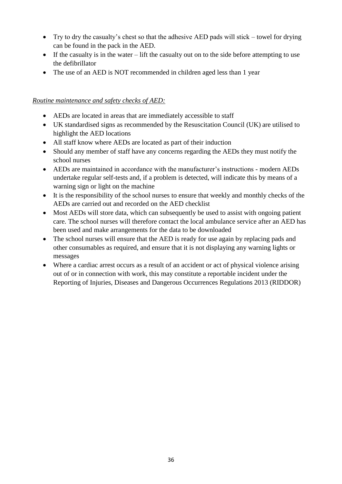- Try to dry the casualty's chest so that the adhesive AED pads will stick towel for drying can be found in the pack in the AED.
- $\bullet$  If the casualty is in the water lift the casualty out on to the side before attempting to use the defibrillator
- The use of an AED is NOT recommended in children aged less than 1 year

# *Routine maintenance and safety checks of AED:*

- AEDs are located in areas that are immediately accessible to staff
- UK standardised signs as recommended by the Resuscitation Council (UK) are utilised to highlight the AED locations
- All staff know where AEDs are located as part of their induction
- Should any member of staff have any concerns regarding the AEDs they must notify the school nurses
- AEDs are maintained in accordance with the manufacturer's instructions modern AEDs undertake regular self-tests and, if a problem is detected, will indicate this by means of a warning sign or light on the machine
- It is the responsibility of the school nurses to ensure that weekly and monthly checks of the AEDs are carried out and recorded on the AED checklist
- Most AEDs will store data, which can subsequently be used to assist with ongoing patient care. The school nurses will therefore contact the local ambulance service after an AED has been used and make arrangements for the data to be downloaded
- The school nurses will ensure that the AED is ready for use again by replacing pads and other consumables as required, and ensure that it is not displaying any warning lights or messages
- Where a cardiac arrest occurs as a result of an accident or act of physical violence arising out of or in connection with work, this may constitute a reportable incident under the Reporting of Injuries, Diseases and Dangerous Occurrences Regulations 2013 (RIDDOR)